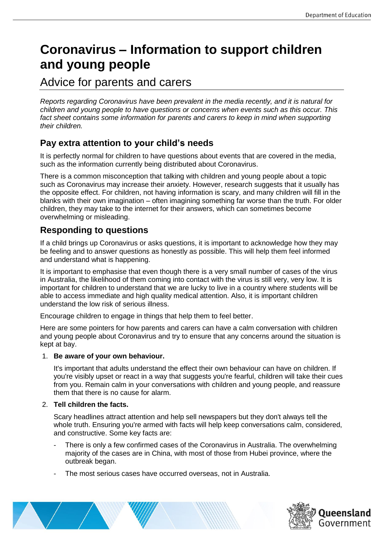# **Coronavirus – Information to support children and young people**

## Advice for parents and carers

*Reports regarding Coronavirus have been prevalent in the media recently, and it is natural for children and young people to have questions or concerns when events such as this occur. This fact sheet contains some information for parents and carers to keep in mind when supporting their children.* 

## **Pay extra attention to your child's needs**

It is perfectly normal for children to have questions about events that are covered in the media, such as the information currently being distributed about Coronavirus.

There is a common misconception that talking with children and young people about a topic such as Coronavirus may increase their anxiety. However, research suggests that it usually has the opposite effect. For children, not having information is scary, and many children will fill in the blanks with their own imagination – often imagining something far worse than the truth. For older children, they may take to the internet for their answers, which can sometimes become overwhelming or misleading.

## **Responding to questions**

If a child brings up Coronavirus or asks questions, it is important to acknowledge how they may be feeling and to answer questions as honestly as possible. This will help them feel informed and understand what is happening.

It is important to emphasise that even though there is a very small number of cases of the virus in Australia, the likelihood of them coming into contact with the virus is still very, very low. It is important for children to understand that we are lucky to live in a country where students will be able to access immediate and high quality medical attention. Also, it is important children understand the low risk of serious illness.

Encourage children to engage in things that help them to feel better.

Here are some pointers for how parents and carers can have a calm conversation with children and young people about Coronavirus and try to ensure that any concerns around the situation is kept at bay.

#### 1. **Be aware of your own behaviour.**

It's important that adults understand the effect their own behaviour can have on children. If you're visibly upset or react in a way that suggests you're fearful, children will take their cues from you. Remain calm in your conversations with children and young people, and reassure them that there is no cause for alarm.

#### 2. **Tell children the facts.**

Scary headlines attract attention and help sell newspapers but they don't always tell the whole truth. Ensuring you're armed with facts will help keep conversations calm, considered, and constructive. Some key facts are:

- There is only a few confirmed cases of the Coronavirus in Australia. The overwhelming majority of the cases are in China, with most of those from Hubei province, where the outbreak began.
- The most serious cases have occurred overseas, not in Australia.